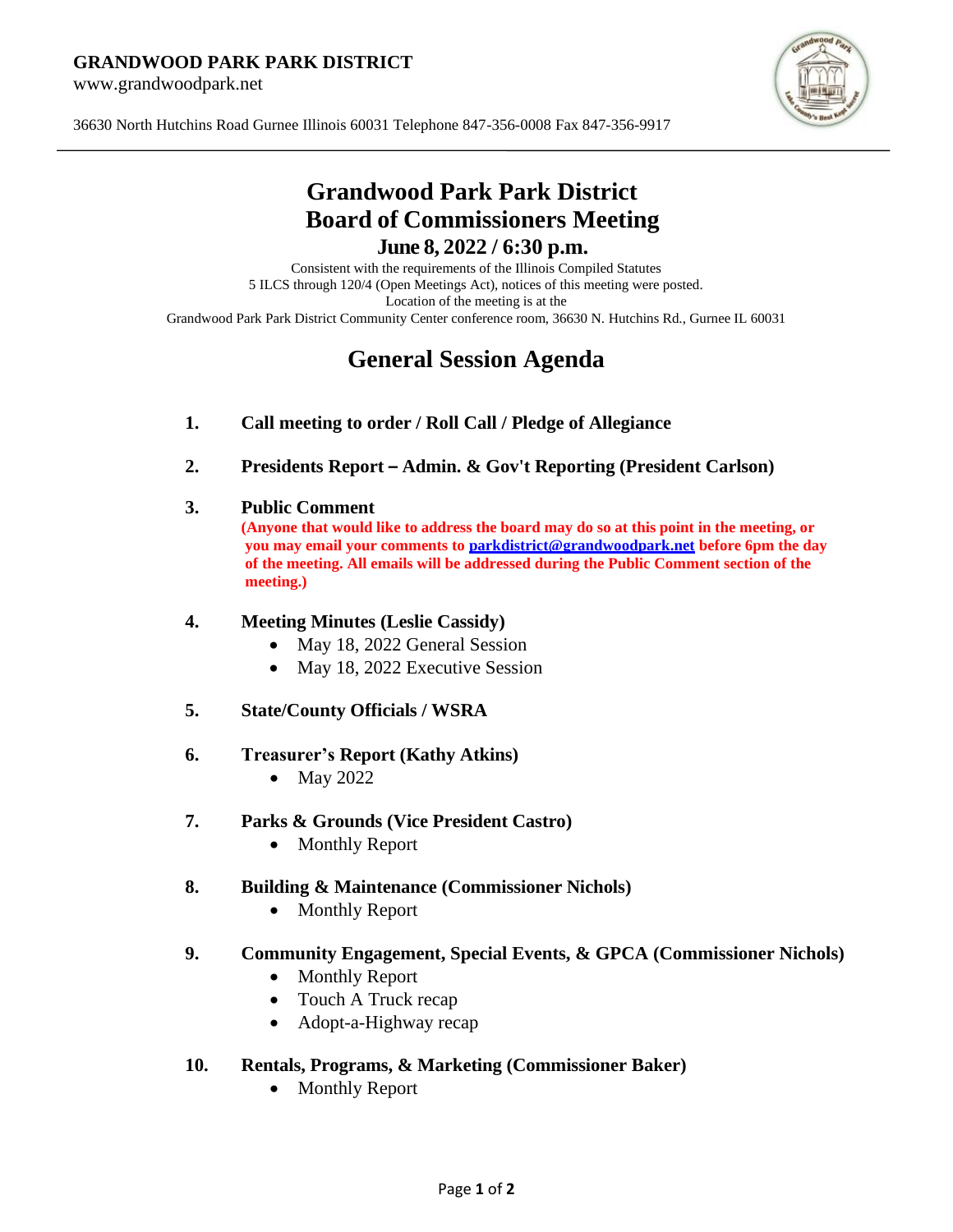#### **GRANDWOOD PARK PARK DISTRICT**

www.grandwoodpark.net



36630 North Hutchins Road Gurnee Illinois 60031 Telephone 847-356-0008 Fax 847-356-9917

# **Grandwood Park Park District Board of Commissioners Meeting June 8, 2022 / 6:30 p.m.**

Consistent with the requirements of the Illinois Compiled Statutes 5 ILCS through 120/4 (Open Meetings Act), notices of this meeting were posted. Location of the meeting is at the Grandwood Park Park District Community Center conference room, 36630 N. Hutchins Rd., Gurnee IL 60031

# **General Session Agenda**

- **1. Call meeting to order / Roll Call / Pledge of Allegiance**
- **2. Presidents Report – Admin. & Gov't Reporting (President Carlson)**
- **3. Public Comment**

**(Anyone that would like to address the board may do so at this point in the meeting, or you may email your comments to [parkdistrict@grandwoodpark.net](mailto:parkdistrict@grandwoodpark.net) before 6pm the day of the meeting. All emails will be addressed during the Public Comment section of the meeting.)**

#### **4. Meeting Minutes (Leslie Cassidy)**

- May 18, 2022 General Session
- May 18, 2022 Executive Session
- **5. State/County Officials / WSRA**

#### **6. Treasurer's Report (Kathy Atkins)**

- May 2022
- **7. Parks & Grounds (Vice President Castro)**
	- Monthly Report

#### **8. Building & Maintenance (Commissioner Nichols)**

• Monthly Report

#### **9. Community Engagement, Special Events, & GPCA (Commissioner Nichols)**

- Monthly Report
- Touch A Truck recap
- Adopt-a-Highway recap

#### **10. Rentals, Programs, & Marketing (Commissioner Baker)**

• Monthly Report